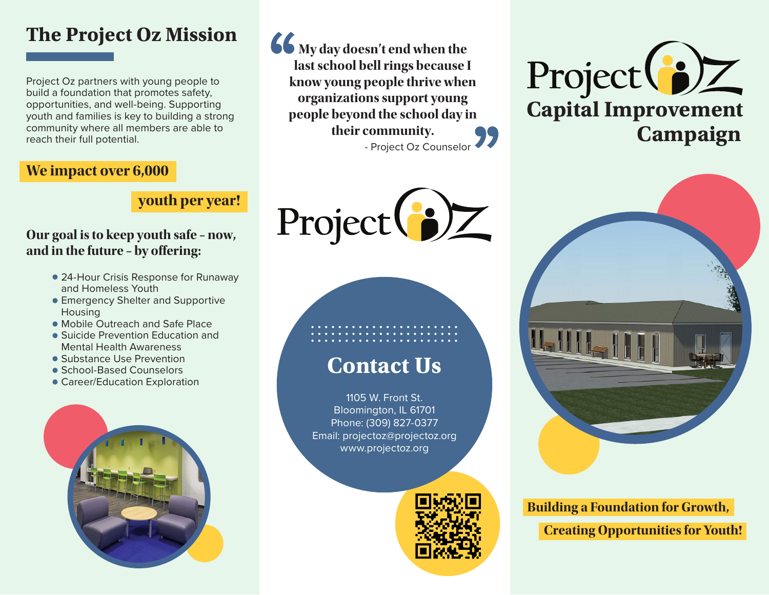## **The Project Oz Mission**

Project Oz partners with young people to build a foundation that promotes safety, opportunities, and well-being. Supporting youth and families is key to building a strong community where all members are able to reach their full potential.

## **We impact over 6,000**

## **youth per year!**

#### **Our goal is to keep youth safe – now, and in the future – by offering:**

- 24-Hour Crisis Response for Runaway and Homeless Youth
- **Emergency Shelter and Supportive** Housing
- Mobile Outreach and Safe Place
- Suicide Prevention Education and Mental Health Awareness
- Substance Use Prevention
- School-Based Counselors
- Career/Education Exploration



**66** My day doesn't end when the **last school bell rings because I know young people thrive when organizations support young people beyond the school day in their community.** - Project Oz Counselor



# **Contact Us**

1105 W. Front St. Bloomington, IL 61701 Phone: (309) 827-0377 Email: projectoz@projectoz.org www.projectoz.org







**Building a Foundation for Growth, Creating Opportunities for Youth!**